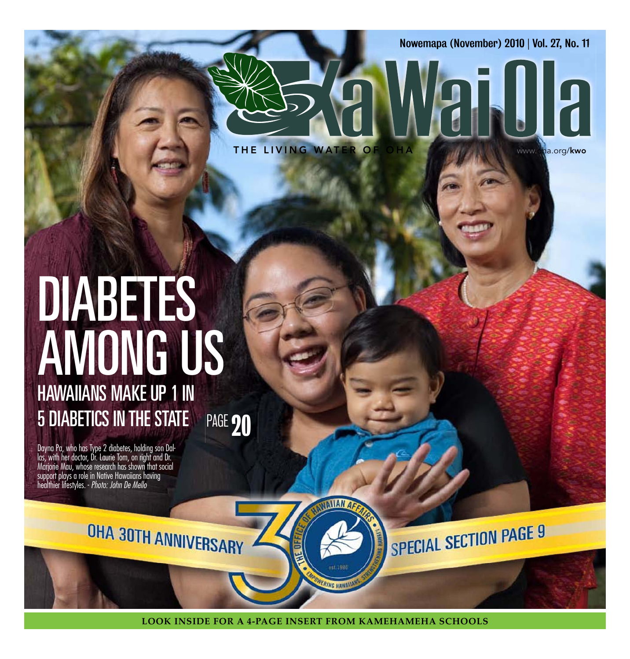Nowemapa (November) 2010 | Vol. 27, No. 11

the living water of oha www.oha.org/kwo

# PAGE 20 **DIABETES** among us Hawaiians make up 1 in 5 Diabetics in tHe state

Dayna Pa, who has Type 2 diabetes, holding son Dallas, with her doctor, Dr. Laurie Tom, on right and Dr. Marjorie Mau, whose research has shown that social support plays a role in Native Hawaiians having healthier lifestyles. - Photo: John De Mello

OHA 30TH ANNIVERSARY

SPECIAL SECTION PAGE 9

**Look inside for a 4-page insert from kamehameha schooLs**

**INIIAN** 

**PINC UNK**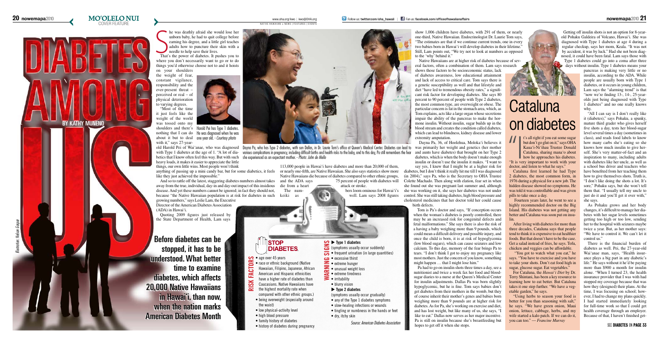#### S he was deathly afraid she would lose her unborn baby, he had to quit college before earning his degree, and a little girl teaches adults how to puncture their skin with a needle to help save their lives.

"Most of the time it just feels like the weight of the world was tossed onto my with it," says 27-year-

shoulders and there's Harold Pei has Type 1 diabetes. nothing that I can do He was diagnosed when he was about it but to deal one year old. - Courtesy photo

That's the power of diabetes. It pushes you to where you don't necessarily want to go or to do things you'd otherwise choose not to and it hoists on your shoulders

the weight of fear, constant vigilance, responsibility and the ever-present threat – perceived or real – of physical deterioration to varying degrees.

> The num- bers loom ominous for Hawai'i's keiki as well. Lam says 2008 figures

heavy loads, it makes it easier to appreciate the little things, our own little wins. Most people won't think

anything of passing up a mini candy bar, but for some diabetics, it feels like they just achieved the impossible."

And so to rattle off the latest, staggering diabetes numbers almost takes away from the true, individual, day-in and day-out impact of this insidious disease. And yet these numbers cannot be ignored; in fact they should not, because "the Native Hawaiian population is at risk for diabetes in such growing numbers," says Leslie Lam, the Executive

Director of the American Diabetes Association (ADA) in Hawai'i.

Quoting 2009 figures just released by the State Department of Health, Lam says

113,000 people in Hawai'i have diabetes and more than 20,000 of them, or nearly one-fifth, are Native Hawaiian. She also says statistics show more Native Hawaiians die because of diabetes compared to other ethnic groups, and the ADA says 75 percent of people with diabetes will

die from a heart attack or stroke.

show 1,006 children have diabetes, with 291 of them, or nearly one-third, Native Hawaiian. Endocrinologist Dr. Laurie Tom says, "The estimates are that if we continue current trends, one in every two babies born in Hawai'i will develop diabetes in their lifetime." Still, Lam points out, "We try not to look at numbers as opposed to the 'why' behind it."

Native Hawaiians are at higher risk of diabetes because of several factors, often a combination of them. Lam says research

shows those factors to be socioeconomic status, lack of diabetes awareness, low educational attainment and lack of access to critical care. Tom says there is a genetic susceptibility as well and that lifestyle and diet "have led to tremendous obesity rates," a significant risk factor for developing diabetes. She says 80 percent to 90 percent of people with Type 2 diabetes, the most common type, are overweight or obese. The particular concern is fat in the stomach area, which, as Tom explains, acts like a large organ whose secretions impair the ability of the pancreas to make the hormone insulin. Without insulin, sugar builds up in the blood stream and creates the condition called diabetes, which can lead to blindness, kidney disease and lower extremity amputation.

Dayna Pa, 36, of Hoolehua, Moloka'i believes it diabetes, which is when the body doesn't make enough insulin or doesn't use the insulin it makes. "I want to say yes, I knew that I might be at a higher risk for diabetes, but I don't think it really hit me till I was diagnosed (in 2004)," says Pa, who is the Secretary to OHA Trustee Colette Machado. Then along with elation, fear set in when she found out she was pregnant last summer and, although she was working on it, she says her diabetes was not under control. She was still taking diabetes, high blood pressure and cholesterol medicines that her doctor told her could cause birth defects.

- race or ethnic background (Native
- FACT Hawaiian, Filipino, Japanese, African
- American and Hispanic ethnicities
- have a higher rate of diabetes than  $SSK$ Caucasians. Native Hawaiians have
- **risk factors**  $\overline{\mathbf{z}}$ the highest mortality rate when
- compared with other ethnic groups.) • being overweight (especially around the waist)
- low physical-activity level
- high blood pressure
- family history of diabetes
- history of diabetes during pregnancy

### **<u>** $\bullet$ **</u> <b>type 1** diabetes

Tom is Pa's doctor and says, "If conception occurs when the woman's diabetes is poorly controlled, there may be an increased risk for congenital defects and fetal malformations." She says there is also the risk of a having a baby weighing more than 9 pounds, which could mean a difficult delivery and possible injury, and once the child is born, it is at risk of hypoglycemia (low blood sugars), which can cause seizures and low calcium. To this day, memory of the fear brings Pa to tears. "I don't think I got to enjoy my pregnancy like most mothers. Just the concern of you know, something might happen … that I might lose him."



- (symptoms usually occur suddenly)
- $\overline{\bullet}$  frequent urination (in large quantities)
- excessive thirst
- $\blacktriangleright$  extreme hunger
- unusual weight loss
- irritability
- 
- $\blacktriangleright$  **Type 2 diabetes**
- (symptoms usually occur gradually)
- 
- 
- dry, itchy skin
	- Source: American Diabetes Association

# **Cataluna** on diabetes

I<br>
I's all right if you eat some sugar<br>
but don't go glut on it," says OHA<br>
Kaua'i-Ni'ihau Trustee Donald<br>
Cataluna, sharing mana'o about<br>
how he approaches his diabetes.<br>
"It is very important to work with your but don't go glut on it," says OHA Kaua'i-Ni'ihau Trustee Donald Cataluna, sharing mana'o about how he approaches his diabetes. "It is very important to work with your

Pa had to go on insulin shots three times a day, see a nutritionist and twice a week fax her food and bloodsugar diaries to a nurse at the Queen's Medical Center for insulin adjustments. Dallas Pa was born slightly hypoglycemic, but he is fine. Tom says babies don't get diabetes from their mothers in the womb, but they of course inherit their mother's genes and babies born weighing more than 9 pounds are at higher risk for diabetes. As for Pa, she's working on exercise and diet, and has lost weight, but like many of us, she says, "I like to eat." Dallas now serves as her major incentive. Pa is still on insulin because she's breastfeeding but hopes to get off it when she stops.





Getting off insulin shots is not an option for 8-yearold Pohaku Galdeira of Volcano, Hawai'i. She was diagnosed with Type 1 diabetes at age 4 during a regular checkup, says her mom, Keala. "It was not by accident, it was by luck." Had she not been diagnosed, it could have been fatal. Lam says those with Type 1 diabetes could go into a coma after three days without insulin. Type 1 diabetes means your

> pancreas is making very little or no insulin, according to the ADA. While people are usually born with Type 1 diabetes, or it occurs in young children, Lam says the "alarming trend" is that "now we're finding 13-, 14-, 25-yearolds just being diagnosed with Type 1 diabetes" and no one really knows why.

"All I can say is I don't really like it (diabetes)," says Pohaku, a spunky, mature third grader who gives herself five shots a day, tests her blood-sugar level several times a day (sometimes in class), and reads food labels to know how many carbs she's eating so she knows how much insulin to give herself. She's very matter-of-fact and an inspiration to many, including adults with diabetes like her uncle, as well as a school bus driver and teachers who have benefited from her teaching them how to give themselves shots. Truth is, "I don't like doing the shots a lot. It's sore," Pohaku says, but she won't tell them that. "I usually tell my uncle to just do it and you'll get it over with," she says.

As Pohaku grows and her body changes, it's difficult to manage her diabetes with her sugar levels sometimes getting too high or too low, sending her to the hospital with seizures maybe twice a year. But, as her mother says: "We have to control it. We can't let it control us."

There is the financial burden of diabetes as well. Pei, the 27-year-old Wai'anae man, says, "Health insurance plays a big part in any diabetic's life." He says without it he'd be paying more than \$900 a month for insulin alone. "When I turned 23, the health insurance provider that I was with had stopped my coverage because that was how they (designed) their plans. At the time, I was focusing on school; however, I had to change my plans quickly. I had started immediately looking for full-time work so that I could get health coverage through an employer. Because of that, I haven't finished get-

Before diabetes can be stopped, it has to be understood. What better time to examine diabetes, which affects 20,000 Native Hawaiians in Hawai'i, than now, when the nation marks American Diabetes Month

### **STOP DIABETES**

#### $\bullet$  age over 45 years

- extreme tiredness **Warning signs**
	-
	- blurry vision
	-
	- any of the Type 1 diabetes symptoms
	- slow-healing infections or wounds
	-
	- tingling or numbness in the hands or feet

Illustration: Nelson Gaspar

#### **20 nowemapa**2010 **MO'OLELO NUI** COVER FEATURE

**BY KATHY MUNENO** 

NATIVE HAWAIIAN » NEWS | FEATURES | EVENTS

betics that I know often feel this way. But with such she experienced as an expectant mother. *- Photo: John de Mello* 

with Type 1 diabetes at the age of 1. "A lot of dia- various complications in pregnancy, including difficult births and health risks to the baby, and to this day, Pa still remembers the fear and aunts have diabetes) that b

doctor, and listen to what he says."

Cataluna first learned he had Type 2 diabetes, the most common form, in 1976 during a physical for a new job. The hidden disease showed no symptoms. He was told it was controllable and was given pills to take once a day.

 Fourteen years later, he went to see a highly recommended doctor on the Big Island. His diabetes was not getting any better and Cataluna was soon put on insulin.

After living with diabetes for more than three decades, Cataluna says that people tend to think it is expensive to eat healthier foods. But that doesn't have to be the case. Get a salad instead of fries, he says. Tofu, chicken and veggies can be affordable.

 "You got to watch what you eat," he says. "You have to exercise and you have to take your shots. Don't eat food high in sugar, glucose sugar. Eat vegetables."

For Cataluna, the *Hawai'i Diet* by Dr. Terry Shintani, has been a key resource to learning how to eat better. But Cataluna takes it one step further. "We have a vegetable garden," he says.

"Using herbs to season your food is better for you than seasoning with salt," he says. "We have green onion, Maui onion, lettuce, cabbage, herbs, and my wife started a kalo patch. If we can do it, you can too." — *Francine Murray*